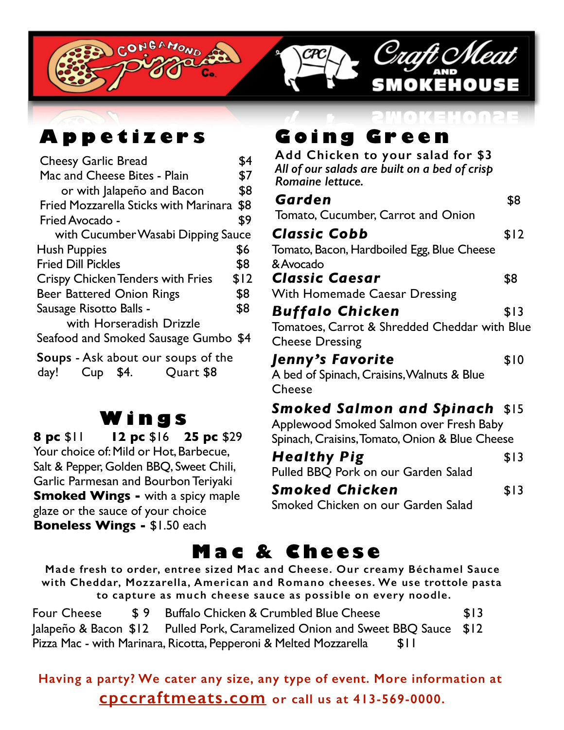

# **Appetize r s**

| <b>Cheesy Garlic Bread</b>                                                 | \$4  |  |
|----------------------------------------------------------------------------|------|--|
| Mac and Cheese Bites - Plain                                               |      |  |
| or with Jalapeño and Bacon                                                 | \$8  |  |
| <b>Fried Mozzarella Sticks with Marinara</b>                               | \$8  |  |
| Fried Avocado -                                                            | \$9  |  |
| with Cucumber Wasabi Dipping Sauce                                         |      |  |
| Hush Puppies                                                               | \$6  |  |
| <b>Fried Dill Pickles</b>                                                  | \$8  |  |
| <b>Crispy Chicken Tenders with Fries</b>                                   | \$12 |  |
| <b>Beer Battered Onion Rings</b>                                           | \$8  |  |
| Sausage Risotto Balls -                                                    | \$8  |  |
| with Horseradish Drizzle                                                   |      |  |
| Seafood and Smoked Sausage Gumbo \$4                                       |      |  |
| <b>Soups</b> - Ask about our soups of the<br>Cup \$4.<br>Quart \$8<br>day! |      |  |

# **Win g s**

**8 pc** \$11 **12 pc** \$16 **25 pc** \$29 Your choice of: Mild or Hot, Barbecue, Salt & Pepper, Golden BBQ, Sweet Chili, Garlic Parmesan and Bourbon Teriyaki **Smoked Wings -** with a spicy maple glaze or the sauce of your choice **Boneless Wings -** \$1.50 each

# **Going Green**

**Add Chicken to your salad for \$3** *All of our salads are built on a bed of crisp Romaine lettuce.*

| Garden                                         | \$8  |
|------------------------------------------------|------|
| Tomato, Cucumber, Carrot and Onion             |      |
| <b>Classic Cobb</b>                            | \$12 |
| Tomato, Bacon, Hardboiled Egg, Blue Cheese     |      |
| & Avocado                                      |      |
| <b>Classic Caesar</b>                          | \$8  |
| <b>With Homemade Caesar Dressing</b>           |      |
| <b>Buffalo Chicken</b>                         | \$13 |
| Tomatoes, Carrot & Shredded Cheddar with Blue  |      |
| <b>Cheese Dressing</b>                         |      |
| Jenny's Favorite                               | \$10 |
| A bed of Spinach, Craisins, Walnuts & Blue     |      |
| Cheese                                         |      |
| <b>Smoked Salmon and Spinach</b> \$15          |      |
| Applewood Smoked Salmon over Fresh Baby        |      |
| Spinach, Craisins, Tomato, Onion & Blue Cheese |      |
| <b>Healthy Pig</b>                             | \$13 |

Pulled BBQ Pork on our Garden Salad

**Smoked Chicken** \$13

Smoked Chicken on our Garden Salad

# **Mac & Cheese**

**Made fresh to order, entree sized Mac and Cheese. Our creamy Béchamel Sauce with Cheddar, Mozzarella, American and Romano cheeses. We use trottole pasta to capture as much cheese sauce as possible on every noodle.**

Four Cheese  $\frac{1}{2}$   $\frac{1}{2}$  Buffalo Chicken & Crumbled Blue Cheese  $\frac{1}{2}$   $\frac{1}{3}$ Jalapeño & Bacon \$12 Pulled Pork, Caramelized Onion and Sweet BBQ Sauce \$12 Pizza Mac - with Marinara, Ricotta, Pepperoni & Melted Mozzarella \$11

### **Having a party? We cater any size, any type of event. More information at cpccraftmeats.com or call us at 413-569-0000.**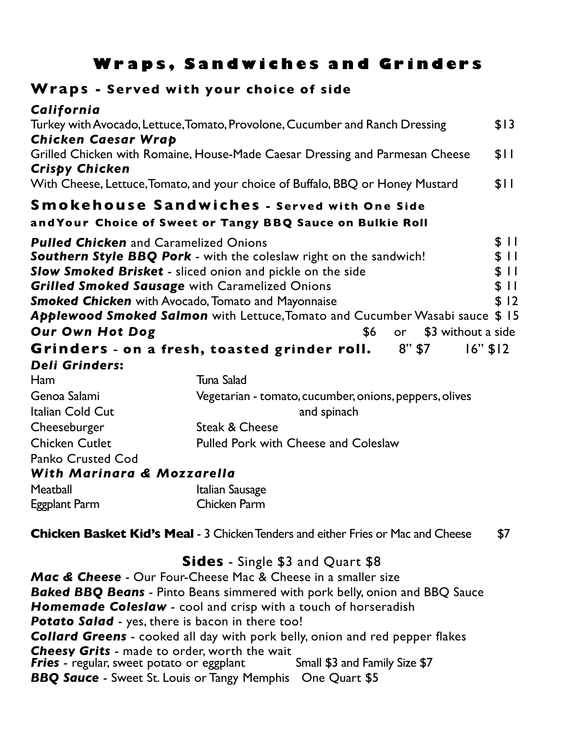### **Wraps, Sandwiches and Grinders**

#### **Wraps - Served with your choice of side**

Eggplant Parm Chicken Parm

| California                                                                     |                                                                              |                    |  |  |
|--------------------------------------------------------------------------------|------------------------------------------------------------------------------|--------------------|--|--|
| Turkey with Avocado, Lettuce, Tomato, Provolone, Cucumber and Ranch Dressing   |                                                                              |                    |  |  |
| Chicken Caesar Wrap                                                            |                                                                              |                    |  |  |
| <b>Crispy Chicken</b>                                                          | Grilled Chicken with Romaine, House-Made Caesar Dressing and Parmesan Cheese | \$11               |  |  |
| With Cheese, Lettuce, Tomato, and your choice of Buffalo, BBQ or Honey Mustard |                                                                              |                    |  |  |
|                                                                                | <b>Smokehouse Sandwiches - Served with One Side</b>                          |                    |  |  |
|                                                                                | and Your Choice of Sweet or Tangy BBQ Sauce on Bulkie Roll                   |                    |  |  |
| <b>Pulled Chicken</b> and Caramelized Onions                                   |                                                                              | \$11               |  |  |
|                                                                                | <b>Southern Style BBQ Pork</b> - with the coleslaw right on the sandwich!    | \$11               |  |  |
| <b>Slow Smoked Brisket</b> - sliced onion and pickle on the side               |                                                                              |                    |  |  |
| <b>Grilled Smoked Sausage with Caramelized Onions</b>                          |                                                                              |                    |  |  |
|                                                                                | <b>Smoked Chicken</b> with Avocado, Tomato and Mayonnaise                    | \$12               |  |  |
|                                                                                | Applewood Smoked Salmon with Lettuce, Tomato and Cucumber Wasabi sauce \$ 15 |                    |  |  |
| <b>Our Own Hot Dog</b>                                                         | \$6<br>or                                                                    | \$3 without a side |  |  |
|                                                                                | Grinders - on a fresh, toasted grinder roll. 8"\$7                           | $16"$ \$12         |  |  |
| <b>Deli Grinders:</b>                                                          |                                                                              |                    |  |  |
| Ham                                                                            | Tuna Salad                                                                   |                    |  |  |
| Genoa Salami                                                                   | Vegetarian - tomato, cucumber, onions, peppers, olives                       |                    |  |  |
| Italian Cold Cut                                                               | and spinach                                                                  |                    |  |  |
| Cheeseburger<br>Steak & Cheese                                                 |                                                                              |                    |  |  |
| <b>Chicken Cutlet</b>                                                          | <b>Pulled Pork with Cheese and Coleslaw</b>                                  |                    |  |  |
| <b>Panko Crusted Cod</b>                                                       |                                                                              |                    |  |  |
| With Marinara & Mozzarella                                                     |                                                                              |                    |  |  |
| Meatball                                                                       | Italian Sausage                                                              |                    |  |  |

**Chicken Basket Kid's Meal** - 3 Chicken Tenders and either Fries or Mac and Cheese \$7

#### **Sides** - Single \$3 and Quart \$8

*Mac & Cheese* - Our Four-Cheese Mac & Cheese in a smaller size *Baked BBQ Beans* - Pinto Beans simmered with pork belly, onion and BBQ Sauce *Homemade Coleslaw* - cool and crisp with a touch of horseradish *Potato Salad* - yes, there is bacon in there too! *Collard Greens* - cooked all day with pork belly, onion and red pepper flakes *Cheesy Grits* - made to order, worth the wait **Fries** - regular, sweet potato or eggplant Small \$3 and Family Size \$7 *BBQ Sauce* - Sweet St. Louis or Tangy Memphis One Quart \$5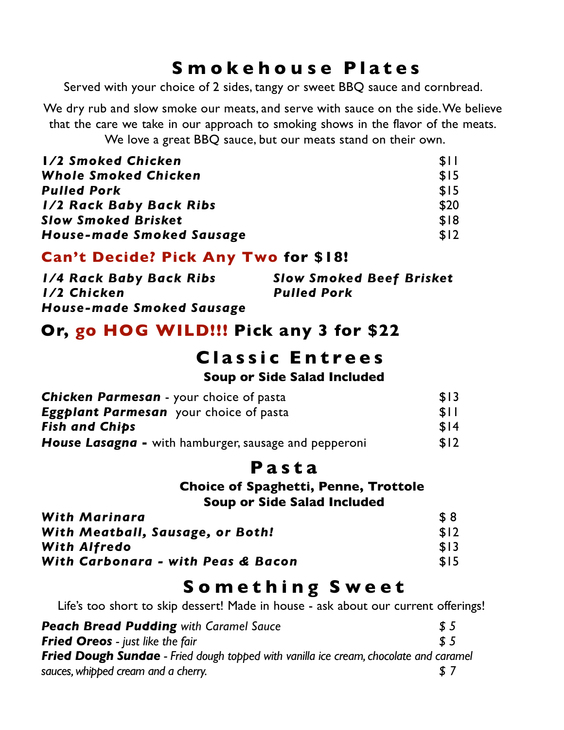## **Smokehouse Plates**

Served with your choice of 2 sides, tangy or sweet BBQ sauce and cornbread.

We dry rub and slow smoke our meats, and serve with sauce on the side.We believe that the care we take in our approach to smoking shows in the flavor of the meats. We love a great BBQ sauce, but our meats stand on their own.

| 1/2 Smoked Chicken             | \$11 |
|--------------------------------|------|
| Whole Smoked Chicken           | \$15 |
| <b>Pulled Pork</b>             | \$15 |
| <b>1/2 Rack Baby Back Ribs</b> | \$20 |
| <b>Slow Smoked Brisket</b>     | \$18 |
| House-made Smoked Sausage      | \$12 |

#### **Can't Decide? Pick Any Two for \$18!**

| <b>1/4 Rack Baby Back Ribs</b> | <b>Slow Smoked Beef Brisket</b> |
|--------------------------------|---------------------------------|
| I/2 Chicken                    | <b>Pulled Pork</b>              |
| House-made Smoked Sausage      |                                 |

### **Or, go HOG WILD!!! Pick any 3 for \$22**

### **Classic Entrees Soup or Side Salad Included**

| <b>Chicken Parmesan</b> - your choice of pasta        |      |
|-------------------------------------------------------|------|
| <b>Eggplant Parmesan</b> your choice of pasta         | \$11 |
| <b>Fish and Chips</b>                                 | \$14 |
| House Lasagna - with hamburger, sausage and pepperoni | \$12 |

### **P asta**

**Choice of Spaghetti, Penne, Trottole Soup or Side Salad Included**

| With Marinara                      | \$8  |
|------------------------------------|------|
| With Meatball, Sausage, or Both!   | \$12 |
| <b>With Alfredo</b>                | \$13 |
| With Carbonara - with Peas & Bacon | \$15 |

# **Something Sweet**

Life's too short to skip dessert! Made in house - ask about our current offerings!

| <b>Peach Bread Pudding with Caramel Sauce</b>                                                | \$5           |
|----------------------------------------------------------------------------------------------|---------------|
| <b>Fried Oreos</b> - just like the fair                                                      | $\frac{1}{2}$ |
| <b>Fried Dough Sundae</b> - Fried dough topped with vanilla ice cream, chocolate and caramel |               |
| sauces, whipped cream and a cherry.                                                          | <b>S</b> 7    |